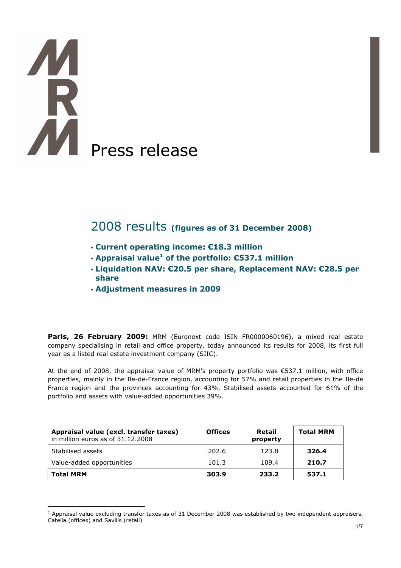# R Press release

# 2008 results (figures as of 31 December 2008)

- Current operating income: €18.3 million
- $\cdot$  Appraisal value<sup>1</sup> of the portfolio:  $\epsilon$ 537.1 million
- Liquidation NAV: €20.5 per share, Replacement NAV: €28.5 per share
- Adjustment measures in 2009

Paris, 26 February 2009: MRM (Euronext code ISIN FR0000060196), a mixed real estate company specialising in retail and office property, today announced its results for 2008, its first full year as a listed real estate investment company (SIIC).

At the end of 2008, the appraisal value of MRM's property portfolio was €537.1 million, with office properties, mainly in the Ile-de-France region, accounting for 57% and retail properties in the Ile-de France region and the provinces accounting for 43%. Stabilised assets accounted for 61% of the portfolio and assets with value-added opportunities 39%.

| Appraisal value (excl. transfer taxes)<br>in million euros as of 31.12.2008 | <b>Offices</b> | Retail<br>property | <b>Total MRM</b> |
|-----------------------------------------------------------------------------|----------------|--------------------|------------------|
| Stabilised assets                                                           | 202.6          | 123.8              | 326.4            |
| Value-added opportunities                                                   | 101.3          | 109.4              | 210.7            |
| <b>Total MRM</b>                                                            | 303.9          | 233.2              | 537.1            |

 $\overline{a}$ <sup>1</sup> Appraisal value excluding transfer taxes as of 31 December 2008 was established by two independent appraisers, Catella (offices) and Savills (retail)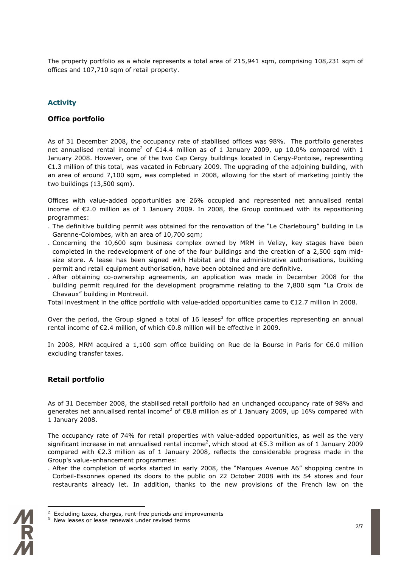The property portfolio as a whole represents a total area of 215,941 sqm, comprising 108,231 sqm of offices and 107,710 sqm of retail property.

### Activity

#### Office portfolio

As of 31 December 2008, the occupancy rate of stabilised offices was 98%. The portfolio generates net annualised rental income<sup>2</sup> of  $E14.4$  million as of 1 January 2009, up 10.0% compared with 1 January 2008. However, one of the two Cap Cergy buildings located in Cergy-Pontoise, representing €1.3 million of this total, was vacated in February 2009. The upgrading of the adjoining building, with an area of around 7,100 sqm, was completed in 2008, allowing for the start of marketing jointly the two buildings (13,500 sqm).

Offices with value-added opportunities are 26% occupied and represented net annualised rental income of €2.0 million as of 1 January 2009. In 2008, the Group continued with its repositioning programmes:

- . The definitive building permit was obtained for the renovation of the "Le Charlebourg" building in La Garenne-Colombes, with an area of 10,700 sqm;
- . Concerning the 10,600 sqm business complex owned by MRM in Velizy, key stages have been completed in the redevelopment of one of the four buildings and the creation of a 2,500 sqm midsize store. A lease has been signed with Habitat and the administrative authorisations, building permit and retail equipment authorisation, have been obtained and are definitive.
- . After obtaining co-ownership agreements, an application was made in December 2008 for the building permit required for the development programme relating to the 7,800 sqm "La Croix de Chavaux" building in Montreuil.

Total investment in the office portfolio with value-added opportunities came to €12.7 million in 2008.

Over the period, the Group signed a total of 16 leases<sup>3</sup> for office properties representing an annual rental income of €2.4 million, of which €0.8 million will be effective in 2009.

In 2008, MRM acquired a 1,100 sqm office building on Rue de la Bourse in Paris for  $\epsilon$ 6.0 million excluding transfer taxes.

### Retail portfolio

As of 31 December 2008, the stabilised retail portfolio had an unchanged occupancy rate of 98% and generates net annualised rental income<sup>2</sup> of  $\mathsf{E}8.8$  million as of 1 January 2009, up 16% compared with 1 January 2008.

The occupancy rate of 74% for retail properties with value-added opportunities, as well as the very significant increase in net annualised rental income<sup>2</sup>, which stood at  $\epsilon$ 5.3 million as of 1 January 2009 compared with €2.3 million as of 1 January 2008, reflects the considerable progress made in the Group's value-enhancement programmes:

. After the completion of works started in early 2008, the "Marques Avenue A6" shopping centre in Corbeil-Essonnes opened its doors to the public on 22 October 2008 with its 54 stores and four restaurants already let. In addition, thanks to the new provisions of the French law on the

 $3$  New leases or lease renewals under revised terms



 $\overline{a}$ 

<sup>2</sup> Excluding taxes, charges, rent-free periods and improvements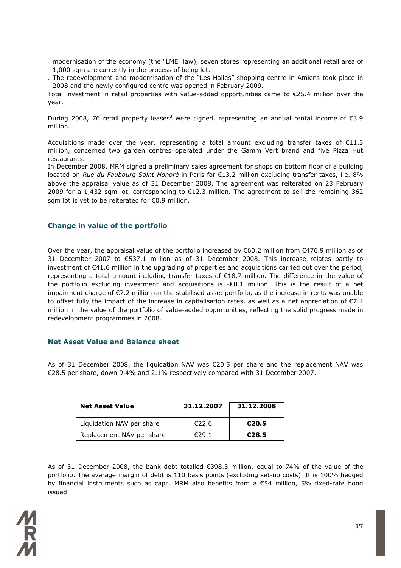modernisation of the economy (the "LME" law), seven stores representing an additional retail area of 1,000 sqm are currently in the process of being let.

. The redevelopment and modernisation of the "Les Halles" shopping centre in Amiens took place in 2008 and the newly configured centre was opened in February 2009.

Total investment in retail properties with value-added opportunities came to €25.4 million over the year.

During 2008, 76 retail property leases<sup>3</sup> were signed, representing an annual rental income of  $\epsilon$ 3.9 million.

Acquisitions made over the year, representing a total amount excluding transfer taxes of €11.3 million, concerned two garden centres operated under the Gamm Vert brand and five Pizza Hut restaurants.

In December 2008, MRM signed a preliminary sales agreement for shops on bottom floor of a building located on Rue du Faubourg Saint-Honoré in Paris for €13.2 million excluding transfer taxes, i.e. 8% above the appraisal value as of 31 December 2008. The agreement was reiterated on 23 February 2009 for a 1,432 sqm lot, corresponding to €12.3 million. The agreement to sell the remaining 362 sqm lot is yet to be reiterated for €0,9 million.

#### Change in value of the portfolio

Over the year, the appraisal value of the portfolio increased by  $\epsilon$ 60.2 million from  $\epsilon$ 476.9 million as of 31 December 2007 to €537.1 million as of 31 December 2008. This increase relates partly to investment of €41.6 million in the upgrading of properties and acquisitions carried out over the period, representing a total amount including transfer taxes of €18.7 million. The difference in the value of the portfolio excluding investment and acquisitions is -€0.1 million. This is the result of a net impairment charge of €7.2 million on the stabilised asset portfolio, as the increase in rents was unable to offset fully the impact of the increase in capitalisation rates, as well as a net appreciation of  $\epsilon$ 7.1 million in the value of the portfolio of value-added opportunities, reflecting the solid progress made in redevelopment programmes in 2008.

#### Net Asset Value and Balance sheet

As of 31 December 2008, the liquidation NAV was €20.5 per share and the replacement NAV was €28.5 per share, down 9.4% and 2.1% respectively compared with 31 December 2007.

| <b>Net Asset Value</b>    | 31.12.2007 | 31.12.2008 |
|---------------------------|------------|------------|
| Liquidation NAV per share | €22.6      | €20.5      |
| Replacement NAV per share | £29.1      | €28.5      |

As of 31 December 2008, the bank debt totalled €398.3 million, equal to 74% of the value of the portfolio. The average margin of debt is 110 basis points (excluding set-up costs). It is 100% hedged by financial instruments such as caps. MRM also benefits from a €54 million, 5% fixed-rate bond issued.

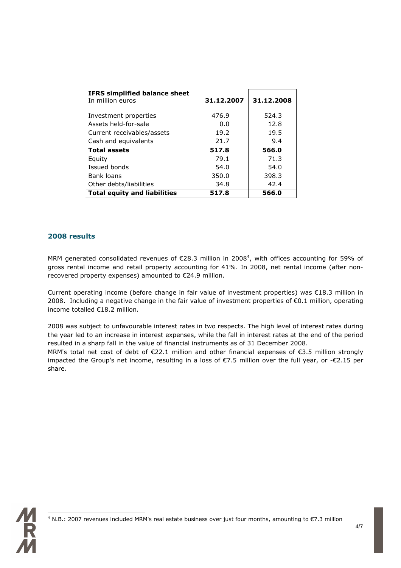| <b>IFRS simplified balance sheet</b><br>In million euros | 31.12.2007 | 31.12.2008 |
|----------------------------------------------------------|------------|------------|
| Investment properties                                    | 476.9      | 524.3      |
| Assets held-for-sale                                     | 0.0        | 12.8       |
| Current receivables/assets                               | 19.2       | 19.5       |
| Cash and equivalents                                     | 21.7       | 9.4        |
| <b>Total assets</b>                                      | 517.8      | 566.0      |
| Equity                                                   | 79.1       | 71.3       |
| Issued bonds                                             | 54.0       | 54.0       |
| Bank loans                                               | 350.0      | 398.3      |
| Other debts/liabilities                                  | 34.8       | 42.4       |
| <b>Total equity and liabilities</b>                      | 517.8      | 566.0      |

### 2008 results

MRM generated consolidated revenues of  $\epsilon$ 28.3 million in 2008<sup>4</sup>, with offices accounting for 59% of gross rental income and retail property accounting for 41%. In 2008, net rental income (after nonrecovered property expenses) amounted to €24.9 million.

Current operating income (before change in fair value of investment properties) was €18.3 million in 2008. Including a negative change in the fair value of investment properties of €0.1 million, operating income totalled €18.2 million.

2008 was subject to unfavourable interest rates in two respects. The high level of interest rates during the year led to an increase in interest expenses, while the fall in interest rates at the end of the period resulted in a sharp fall in the value of financial instruments as of 31 December 2008.

MRM's total net cost of debt of €22.1 million and other financial expenses of €3.5 million strongly impacted the Group's net income, resulting in a loss of €7.5 million over the full year, or -€2.15 per share.



 4 N.B.: 2007 revenues included MRM's real estate business over just four months, amounting to €7.3 million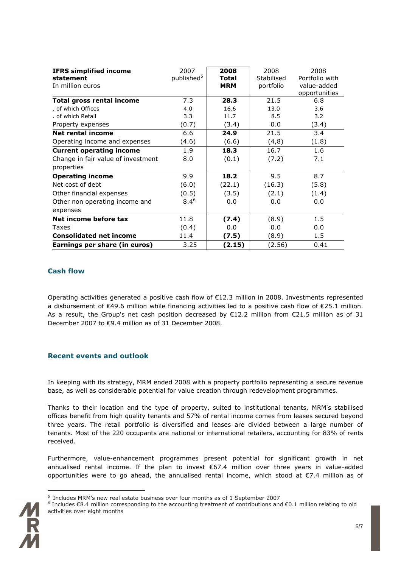| <b>IFRS simplified income</b>      | 2007                   | 2008       | 2008       | 2008           |
|------------------------------------|------------------------|------------|------------|----------------|
| statement                          | published <sup>5</sup> | Total      | Stabilised | Portfolio with |
| In million euros                   |                        | <b>MRM</b> | portfolio  | value-added    |
|                                    |                        |            |            | opportunities  |
| <b>Total gross rental income</b>   | 7.3                    | 28.3       | 21.5       | 6.8            |
| . of which Offices                 | 4.0                    | 16.6       | 13.0       | 3.6            |
| . of which Retail                  | 3.3                    | 11.7       | 8.5        | 3.2            |
| Property expenses                  | (0.7)                  | (3.4)      | 0.0        | (3.4)          |
| <b>Net rental income</b>           | 6.6                    | 24.9       | 21.5       | 3.4            |
| Operating income and expenses      | (4.6)                  | (6.6)      | (4, 8)     | (1.8)          |
| <b>Current operating income</b>    | 1.9                    | 18.3       | 16.7       | 1.6            |
| Change in fair value of investment | 8.0                    | (0.1)      | (7.2)      | 7.1            |
| properties                         |                        |            |            |                |
| <b>Operating income</b>            | 9.9                    | 18.2       | 9.5        | 8.7            |
| Net cost of debt                   | (6.0)                  | (22.1)     | (16.3)     | (5.8)          |
| Other financial expenses           | (0.5)                  | (3.5)      | (2.1)      | (1.4)          |
| Other non operating income and     | $8.4^{6}$              | 0.0        | 0.0        | 0.0            |
| expenses                           |                        |            |            |                |
| Net income before tax              | 11.8                   | (7.4)      | (8.9)      | 1.5            |
| <b>Taxes</b>                       | (0.4)                  | 0.0        | 0.0        | 0.0            |
| <b>Consolidated net income</b>     | 11.4                   | (7.5)      | (8.9)      | 1.5            |
| Earnings per share (in euros)      | 3.25                   | (2.15)     | (2.56)     | 0.41           |

## Cash flow

Operating activities generated a positive cash flow of €12.3 million in 2008. Investments represented a disbursement of €49.6 million while financing activities led to a positive cash flow of €25.1 million. As a result, the Group's net cash position decreased by €12.2 million from €21.5 million as of 31 December 2007 to €9.4 million as of 31 December 2008.

#### Recent events and outlook

In keeping with its strategy, MRM ended 2008 with a property portfolio representing a secure revenue base, as well as considerable potential for value creation through redevelopment programmes.

Thanks to their location and the type of property, suited to institutional tenants, MRM's stabilised offices benefit from high quality tenants and 57% of rental income comes from leases secured beyond three years. The retail portfolio is diversified and leases are divided between a large number of tenants. Most of the 220 occupants are national or international retailers, accounting for 83% of rents received.

Furthermore, value-enhancement programmes present potential for significant growth in net annualised rental income. If the plan to invest €67.4 million over three years in value-added opportunities were to go ahead, the annualised rental income, which stood at €7.4 million as of

 $\overline{a}$ 

 $5$  Includes MRM's new real estate business over four months as of 1 September 2007

<sup>6</sup> Includes €8.4 million corresponding to the accounting treatment of contributions and €0.1 million relating to old activities over eight months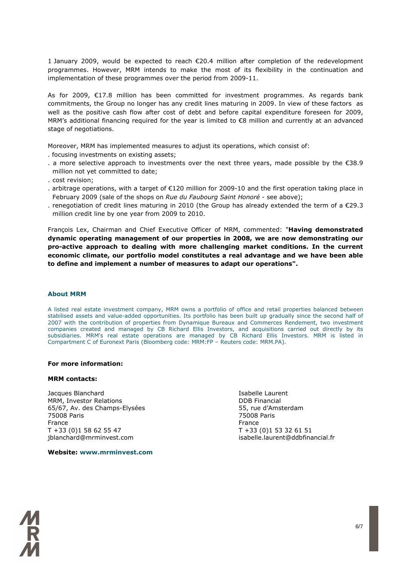1 January 2009, would be expected to reach €20.4 million after completion of the redevelopment programmes. However, MRM intends to make the most of its flexibility in the continuation and implementation of these programmes over the period from 2009-11.

As for 2009, €17.8 million has been committed for investment programmes. As regards bank commitments, the Group no longer has any credit lines maturing in 2009. In view of these factors as well as the positive cash flow after cost of debt and before capital expenditure foreseen for 2009, MRM's additional financing required for the year is limited to €8 million and currently at an advanced stage of negotiations.

Moreover, MRM has implemented measures to adjust its operations, which consist of:

- . focusing investments on existing assets;
- . a more selective approach to investments over the next three years, made possible by the €38.9 million not yet committed to date;
- . cost revision;
- . arbitrage operations, with a target of €120 million for 2009-10 and the first operation taking place in February 2009 (sale of the shops on Rue du Faubourg Saint Honoré - see above);
- . renegotiation of credit lines maturing in 2010 (the Group has already extended the term of a €29.3 million credit line by one year from 2009 to 2010.

François Lex, Chairman and Chief Executive Officer of MRM, commented: "Having demonstrated dynamic operating management of our properties in 2008, we are now demonstrating our pro-active approach to dealing with more challenging market conditions. In the current economic climate, our portfolio model constitutes a real advantage and we have been able to define and implement a number of measures to adapt our operations".

#### About MRM

A listed real estate investment company, MRM owns a portfolio of office and retail properties balanced between stabilised assets and value-added opportunities. Its portfolio has been built up gradually since the second half of 2007 with the contribution of properties from Dynamique Bureaux and Commerces Rendement, two investment companies created and managed by CB Richard Ellis Investors, and acquisitions carried out directly by its subsidiaries. MRM's real estate operations are managed by CB Richard Ellis Investors. MRM is listed in Compartment C of Euronext Paris (Bloomberg code: MRM:FP – Reuters code: MRM.PA).

#### For more information:

#### MRM contacts:

**Jacques Blanchard Islamic Laurent Communist Communist Communist Communist Communist Communist Communist Communist Communist Communist Communist Communist Communist Communist Communist Communist Communist Communist Communi** MRM, Investor Relations DDB Financial 65/67, Av. des Champs-Elysées 55, rue d'Amsterdam 75008 Paris 75008 Paris France **France France** T +33 (0)1 58 62 55 47 T +33 (0)1 53 32 61 51 jblanchard@mrminvest.com isabelle.laurent@ddbfinancial.fr

Website: www.mrminvest.com